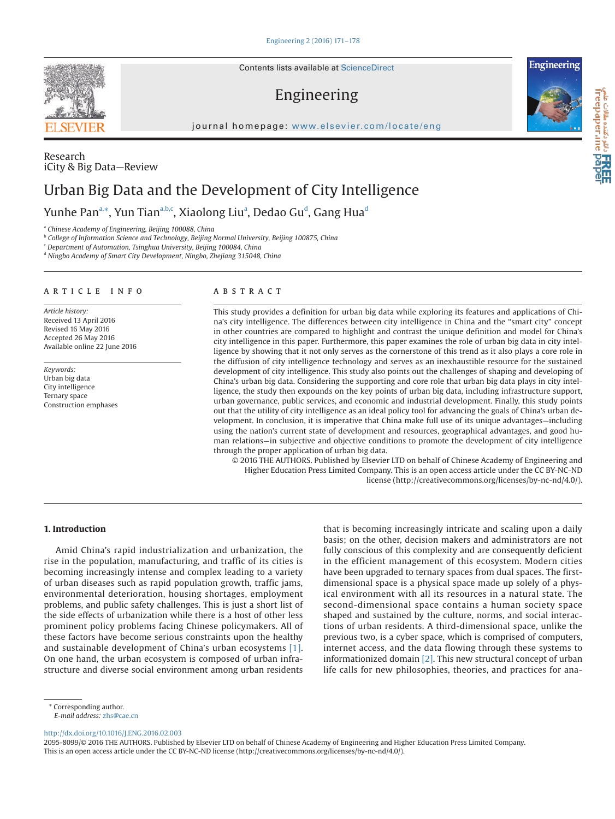Contents lists available at ScienceDirect

# Engineering

journal homepage: www.elsevier.com/locate/eng

Research iCity & Big Data—Review

# Urban Big Data and the Development of City Intelligence

Yunhe Pan<sup>a,</sup>\*, Yun Tian<sup>a,b,c</sup>, Xiaolong Liu<sup>a</sup>, Dedao Gu<sup>d</sup>, Gang Hua<sup>d</sup>

<sup>a</sup> Chinese Academy of Engineering, Beijing 100088, China

b  *College of Information Science and Technology, Beijing Normal University, Beijing 100875, China*

c  *Department of Automation, Tsinghua University, Beijing 100084, China*

d  *Ningbo Academy of Smart City Development, Ningbo, Zhejiang 315048, China*

#### A R T I C L E I N F O A B S T R A C T

*Article history:* Received 13 April 2016 Revised 16 May 2016 Accepted 26 May 2016 Available online 22 June 2016

*Keywords:* Urban big data City intelligence Ternary space Construction emphases

This study provides a definition for urban big data while exploring its features and applications of China's city intelligence. The differences between city intelligence in China and the "smart city" concept in other countries are compared to highlight and contrast the unique definition and model for China's city intelligence in this paper. Furthermore, this paper examines the role of urban big data in city intelligence by showing that it not only serves as the cornerstone of this trend as it also plays a core role in the diffusion of city intelligence technology and serves as an inexhaustible resource for the sustained development of city intelligence. This study also points out the challenges of shaping and developing of China's urban big data. Considering the supporting and core role that urban big data plays in city intelligence, the study then expounds on the key points of urban big data, including infrastructure support, urban governance, public services, and economic and industrial development. Finally, this study points out that the utility of city intelligence as an ideal policy tool for advancing the goals of China's urban development. In conclusion, it is imperative that China make full use of its unique advantages—including using the nation's current state of development and resources, geographical advantages, and good human relations—in subjective and objective conditions to promote the development of city intelligence through the proper application of urban big data.

© 2016 THE AUTHORS. Published by Elsevier LTD on behalf of Chinese Academy of Engineering and Higher Education Press Limited Company. This is an open access article under the CC BY-NC-ND license (http://creativecommons.org/licenses/by-nc-nd/4.0/).

# **1. Introduction**

Amid China's rapid industrialization and urbanization, the rise in the population, manufacturing, and traffic of its cities is becoming increasingly intense and complex leading to a variety of urban diseases such as rapid population growth, traffic jams, environmental deterioration, housing shortages, employment problems, and public safety challenges. This is just a short list of the side effects of urbanization while there is a host of other less prominent policy problems facing Chinese policymakers. All of these factors have become serious constraints upon the healthy and sustainable development of China's urban ecosystems [1]. On one hand, the urban ecosystem is composed of urban infrastructure and diverse social environment among urban residents

that is becoming increasingly intricate and scaling upon a daily basis; on the other, decision makers and administrators are not fully conscious of this complexity and are consequently deficient in the efficient management of this ecosystem. Modern cities have been upgraded to ternary spaces from dual spaces. The firstdimensional space is a physical space made up solely of a physical environment with all its resources in a natural state. The second-dimensional space contains a human society space shaped and sustained by the culture, norms, and social interactions of urban residents. A third-dimensional space, unlike the previous two, is a cyber space, which is comprised of computers, internet access, and the data flowing through these systems to informationized domain [2]. This new structural concept of urban life calls for new philosophies, theories, and practices for ana-

http://dx.doi.org/10.1016/J.ENG.2016.02.003

2095-8099/© 2016 THE AUTHORS. Published by Elsevier LTD on behalf of Chinese Academy of Engineering and Higher Education Press Limited Company. This is an open access article under the CC BY-NC-ND license (http://creativecommons.org/licenses/by-nc-nd/4.0/).

ale Civião accesso and **FKEE**<br>freep aper .me pape

 <sup>\*</sup> Corresponding author.

*E-mail address:* zhs@cae.cn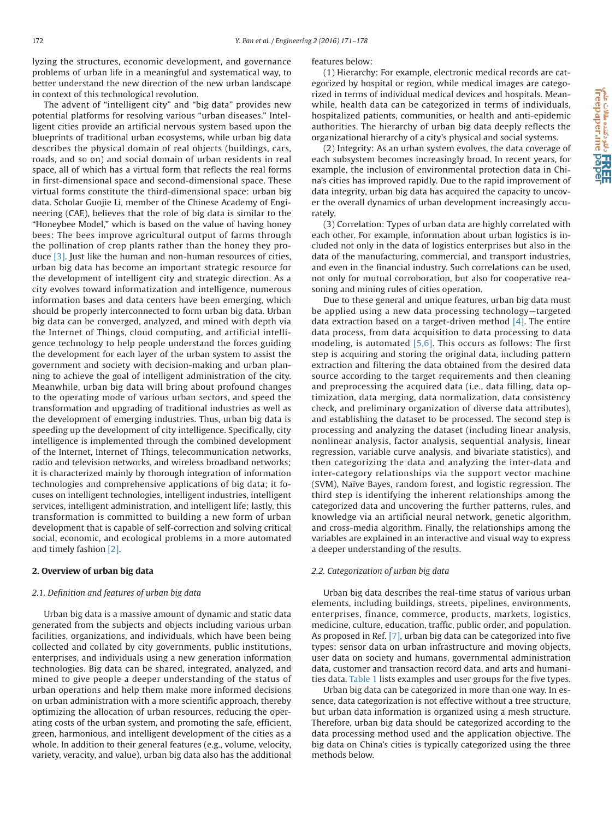lyzing the structures, economic development, and governance problems of urban life in a meaningful and systematical way, to better understand the new direction of the new urban landscape in context of this technological revolution.

The advent of "intelligent city" and "big data" provides new potential platforms for resolving various "urban diseases." Intelligent cities provide an artificial nervous system based upon the blueprints of traditional urban ecosystems, while urban big data describes the physical domain of real objects (buildings, cars, roads, and so on) and social domain of urban residents in real space, all of which has a virtual form that reflects the real forms in first-dimensional space and second-dimensional space. These virtual forms constitute the third-dimensional space: urban big data. Scholar Guojie Li, member of the Chinese Academy of Engineering (CAE), believes that the role of big data is similar to the "Honeybee Model," which is based on the value of having honey bees: The bees improve agricultural output of farms through the pollination of crop plants rather than the honey they produce [3]. Just like the human and non-human resources of cities, urban big data has become an important strategic resource for the development of intelligent city and strategic direction. As a city evolves toward informatization and intelligence, numerous information bases and data centers have been emerging, which should be properly interconnected to form urban big data. Urban big data can be converged, analyzed, and mined with depth via the Internet of Things, cloud computing, and artificial intelligence technology to help people understand the forces guiding the development for each layer of the urban system to assist the government and society with decision-making and urban planning to achieve the goal of intelligent administration of the city. Meanwhile, urban big data will bring about profound changes to the operating mode of various urban sectors, and speed the transformation and upgrading of traditional industries as well as the development of emerging industries. Thus, urban big data is speeding up the development of city intelligence. Specifically, city intelligence is implemented through the combined development of the Internet, Internet of Things, telecommunication networks, radio and television networks, and wireless broadband networks; it is characterized mainly by thorough integration of information technologies and comprehensive applications of big data; it focuses on intelligent technologies, intelligent industries, intelligent services, intelligent administration, and intelligent life; lastly, this transformation is committed to building a new form of urban development that is capable of self-correction and solving critical social, economic, and ecological problems in a more automated and timely fashion [2].

### **2. Overview of urban big data**

# *2.1. Definition and features of urban big data*

Urban big data is a massive amount of dynamic and static data generated from the subjects and objects including various urban facilities, organizations, and individuals, which have been being collected and collated by city governments, public institutions, enterprises, and individuals using a new generation information technologies. Big data can be shared, integrated, analyzed, and mined to give people a deeper understanding of the status of urban operations and help them make more informed decisions on urban administration with a more scientific approach, thereby optimizing the allocation of urban resources, reducing the operating costs of the urban system, and promoting the safe, efficient, green, harmonious, and intelligent development of the cities as a whole. In addition to their general features (e.g., volume, velocity, variety, veracity, and value), urban big data also has the additional

features below:

(1) Hierarchy: For example, electronic medical records are categorized by hospital or region, while medical images are categorized in terms of individual medical devices and hospitals. Meanwhile, health data can be categorized in terms of individuals, hospitalized patients, communities, or health and anti-epidemic authorities. The hierarchy of urban big data deeply reflects the organizational hierarchy of a city's physical and social systems.

(2) Integrity: As an urban system evolves, the data coverage of each subsystem becomes increasingly broad. In recent years, for example, the inclusion of environmental protection data in China's cities has improved rapidly. Due to the rapid improvement of data integrity, urban big data has acquired the capacity to uncover the overall dynamics of urban development increasingly accurately.

(3) Correlation: Types of urban data are highly correlated with each other. For example, information about urban logistics is included not only in the data of logistics enterprises but also in the data of the manufacturing, commercial, and transport industries, and even in the financial industry. Such correlations can be used, not only for mutual corroboration, but also for cooperative reasoning and mining rules of cities operation.

Due to these general and unique features, urban big data must be applied using a new data processing technology—targeted data extraction based on a target-driven method  $[4]$ . The entire data process, from data acquisition to data processing to data modeling, is automated [5,6]. This occurs as follows: The first step is acquiring and storing the original data, including pattern extraction and filtering the data obtained from the desired data source according to the target requirements and then cleaning and preprocessing the acquired data (i.e., data filling, data optimization, data merging, data normalization, data consistency check, and preliminary organization of diverse data attributes), and establishing the dataset to be processed. The second step is processing and analyzing the dataset (including linear analysis, nonlinear analysis, factor analysis, sequential analysis, linear regression, variable curve analysis, and bivariate statistics), and then categorizing the data and analyzing the inter-data and inter-category relationships via the support vector machine (SVM), Naïve Bayes, random forest, and logistic regression. The third step is identifying the inherent relationships among the categorized data and uncovering the further patterns, rules, and knowledge via an artificial neural network, genetic algorithm, and cross-media algorithm. Finally, the relationships among the variables are explained in an interactive and visual way to express a deeper understanding of the results.

### *2.2. Categorization of urban big data*

Urban big data describes the real-time status of various urban elements, including buildings, streets, pipelines, environments, enterprises, finance, commerce, products, markets, logistics, medicine, culture, education, traffic, public order, and population. As proposed in Ref. [7], urban big data can be categorized into five types: sensor data on urban infrastructure and moving objects, user data on society and humans, governmental administration data, customer and transaction record data, and arts and humanities data. Table 1 lists examples and user groups for the five types.

Urban big data can be categorized in more than one way. In essence, data categorization is not effective without a tree structure, but urban data information is organized using a mesh structure. Therefore, urban big data should be categorized according to the data processing method used and the application objective. The big data on China's cities is typically categorized using the three methods below.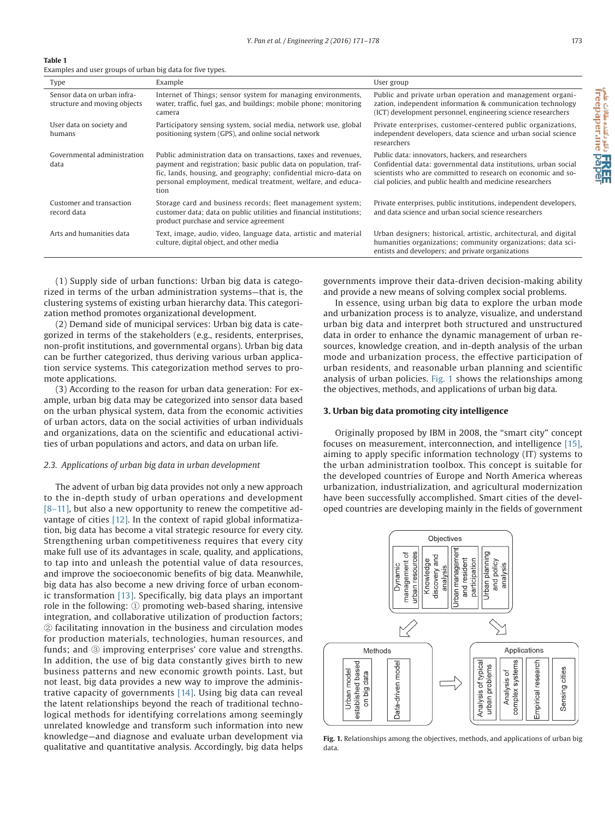#### **Table 1**

Examples and user groups of urban big data for five types.

| Type                                                        | Example                                                                                                                                                                                                                                                                      | User group                                                                                                                                                                                                                                        |
|-------------------------------------------------------------|------------------------------------------------------------------------------------------------------------------------------------------------------------------------------------------------------------------------------------------------------------------------------|---------------------------------------------------------------------------------------------------------------------------------------------------------------------------------------------------------------------------------------------------|
| Sensor data on urban infra-<br>structure and moving objects | Internet of Things; sensor system for managing environments,<br>water, traffic, fuel gas, and buildings; mobile phone; monitoring<br>camera                                                                                                                                  | Public and private urban operation and management organi-<br>zation, independent information & communication technology<br>(ICT) development personnel, engineering science researchers                                                           |
| User data on society and<br>humans                          | Participatory sensing system, social media, network use, global<br>positioning system (GPS), and online social network                                                                                                                                                       | Private enterprises, customer-centered public organizations,<br>independent developers, data science and urban social science<br>researchers                                                                                                      |
| Governmental administration<br>data                         | Public administration data on transactions, taxes and revenues,<br>payment and registration; basic public data on population, traf-<br>fic, lands, housing, and geography; confidential micro-data on<br>personal employment, medical treatment, welfare, and educa-<br>tion | Public data: innovators, hackers, and researchers<br>Confidential data: governmental data institutions, urban social<br>scientists who are committed to research on economic and so-<br>cial policies, and public health and medicine researchers |
| Customer and transaction<br>record data                     | Storage card and business records; fleet management system;<br>customer data; data on public utilities and financial institutions;<br>product purchase and service agreement                                                                                                 | Private enterprises, public institutions, independent developers,<br>and data science and urban social science researchers                                                                                                                        |
| Arts and humanities data                                    | Text, image, audio, video, language data, artistic and material<br>culture, digital object, and other media                                                                                                                                                                  | Urban designers; historical, artistic, architectural, and digital<br>humanities organizations; community organizations; data sci-<br>entists and developers; and private organizations                                                            |

(1) Supply side of urban functions: Urban big data is categorized in terms of the urban administration systems—that is, the clustering systems of existing urban hierarchy data. This categorization method promotes organizational development.

(2) Demand side of municipal services: Urban big data is categorized in terms of the stakeholders (e.g., residents, enterprises, non-profit institutions, and governmental organs). Urban big data can be further categorized, thus deriving various urban application service systems. This categorization method serves to promote applications.

(3) According to the reason for urban data generation: For example, urban big data may be categorized into sensor data based on the urban physical system, data from the economic activities of urban actors, data on the social activities of urban individuals and organizations, data on the scientific and educational activities of urban populations and actors, and data on urban life.

#### *2.3. Applications of urban big data in urban development*

The advent of urban big data provides not only a new approach to the in-depth study of urban operations and development [8-11], but also a new opportunity to renew the competitive advantage of cities [12]. In the context of rapid global informatization, big data has become a vital strategic resource for every city. Strengthening urban competitiveness requires that every city make full use of its advantages in scale, quality, and applications, to tap into and unleash the potential value of data resources, and improve the socioeconomic benefits of big data. Meanwhile, big data has also become a new driving force of urban economic transformation [13]. Specifically, big data plays an important role in the following: ① promoting web-based sharing, intensive integration, and collaborative utilization of production factors; ② facilitating innovation in the business and circulation modes for production materials, technologies, human resources, and funds; and ③ improving enterprises' core value and strengths. In addition, the use of big data constantly gives birth to new business patterns and new economic growth points. Last, but not least, big data provides a new way to improve the administrative capacity of governments [14]. Using big data can reveal the latent relationships beyond the reach of traditional technological methods for identifying correlations among seemingly unrelated knowledge and transform such information into new knowledge—and diagnose and evaluate urban development via qualitative and quantitative analysis. Accordingly, big data helps governments improve their data-driven decision-making ability and provide a new means of solving complex social problems.

In essence, using urban big data to explore the urban mode and urbanization process is to analyze, visualize, and understand urban big data and interpret both structured and unstructured data in order to enhance the dynamic management of urban resources, knowledge creation, and in-depth analysis of the urban mode and urbanization process, the effective participation of urban residents, and reasonable urban planning and scientific analysis of urban policies. Fig. 1 shows the relationships among the objectives, methods, and applications of urban big data.

#### **3. Urban big data promoting city intelligence**

Originally proposed by IBM in 2008, the "smart city" concept focuses on measurement, interconnection, and intelligence [15], aiming to apply specific information technology (IT) systems to the urban administration toolbox. This concept is suitable for the developed countries of Europe and North America whereas urbanization, industrialization, and agricultural modernization have been successfully accomplished. Smart cities of the developed countries are developing mainly in the fields of government



**Fig. 1.** Relationships among the objectives, methods, and applications of urban big data.

**ا REE**<br>freepaper.me pape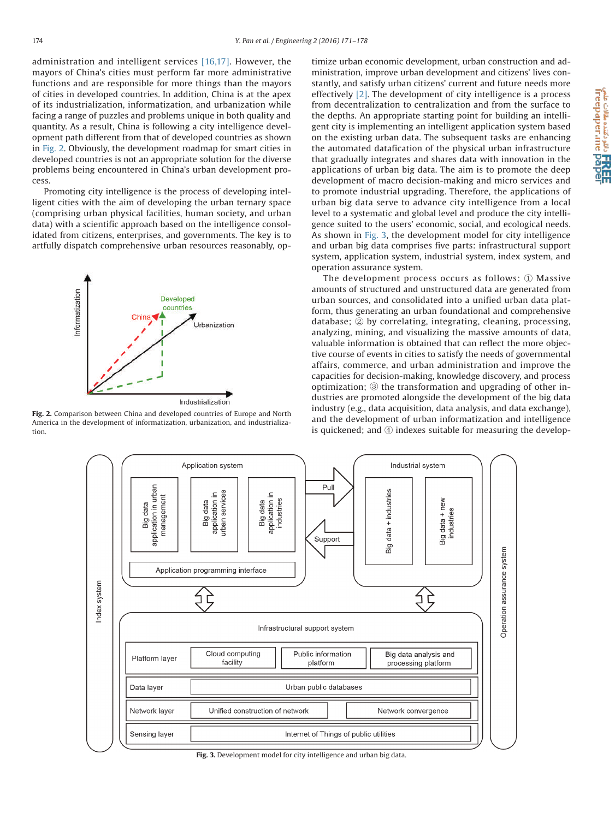administration and intelligent services [16,17]. However, the mayors of China's cities must perform far more administrative functions and are responsible for more things than the mayors of cities in developed countries. In addition, China is at the apex of its industrialization, informatization, and urbanization while facing a range of puzzles and problems unique in both quality and quantity. As a result, China is following a city intelligence development path different from that of developed countries as shown in Fig. 2. Obviously, the development roadmap for smart cities in developed countries is not an appropriate solution for the diverse problems being encountered in China's urban development process.

Promoting city intelligence is the process of developing intelligent cities with the aim of developing the urban ternary space (comprising urban physical facilities, human society, and urban data) with a scientific approach based on the intelligence consolidated from citizens, enterprises, and governments. The key is to artfully dispatch comprehensive urban resources reasonably, op-



**Fig. 2.** Comparison between China and developed countries of Europe and North America in the development of informatization, urbanization, and industrialization.

timize urban economic development, urban construction and administration, improve urban development and citizens' lives constantly, and satisfy urban citizens' current and future needs more effectively [2]. The development of city intelligence is a process from decentralization to centralization and from the surface to the depths. An appropriate starting point for building an intelligent city is implementing an intelligent application system based on the existing urban data. The subsequent tasks are enhancing the automated datafication of the physical urban infrastructure that gradually integrates and shares data with innovation in the applications of urban big data. The aim is to promote the deep development of macro decision-making and micro services and to promote industrial upgrading. Therefore, the applications of urban big data serve to advance city intelligence from a local level to a systematic and global level and produce the city intelligence suited to the users' economic, social, and ecological needs. As shown in Fig. 3, the development model for city intelligence and urban big data comprises five parts: infrastructural support system, application system, industrial system, index system, and operation assurance system.

The development process occurs as follows: ① Massive amounts of structured and unstructured data are generated from urban sources, and consolidated into a unified urban data platform, thus generating an urban foundational and comprehensive database; ② by correlating, integrating, cleaning, processing, analyzing, mining, and visualizing the massive amounts of data, valuable information is obtained that can reflect the more objective course of events in cities to satisfy the needs of governmental affairs, commerce, and urban administration and improve the capacities for decision-making, knowledge discovery, and process optimization; ③ the transformation and upgrading of other industries are promoted alongside the development of the big data industry (e.g., data acquisition, data analysis, and data exchange), and the development of urban informatization and intelligence is quickened; and  $\Phi$  indexes suitable for measuring the develop-



**Fig. 3.** Development model for city intelligence and urban big data.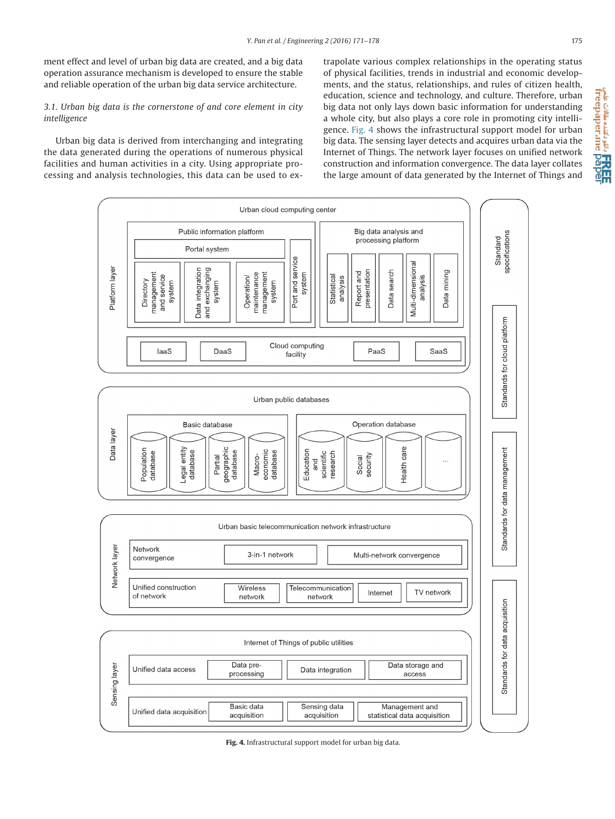ment effect and level of urban big data are created, and a big data operation assurance mechanism is developed to ensure the stable and reliable operation of the urban big data service architecture.

# *3.1. Urban big data is the cornerstone of and core element in city intelligence*

Urban big data is derived from interchanging and integrating the data generated during the operations of numerous physical facilities and human activities in a city. Using appropriate processing and analysis technologies, this data can be used to extrapolate various complex relationships in the operating status of physical facilities, trends in industrial and economic developments, and the status, relationships, and rules of citizen health, education, science and technology, and culture. Therefore, urban big data not only lays down basic information for understanding a whole city, but also plays a core role in promoting city intelligence. Fig. 4 shows the infrastructural support model for urban big data. The sensing layer detects and acquires urban data via the Internet of Things. The network layer focuses on unified network construction and information convergence. The data layer collates the large amount of data generated by the Internet of Things and

**CALE CONGALISTION PRACTICE**<br>freepaper.me **paper** 



**Fig. 4.** Infrastructural support model for urban big data.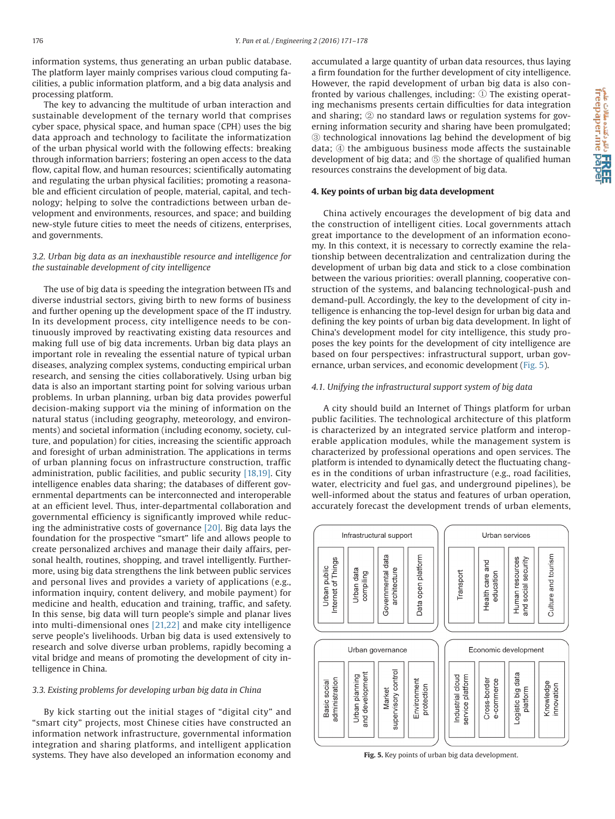information systems, thus generating an urban public database. The platform layer mainly comprises various cloud computing facilities, a public information platform, and a big data analysis and processing platform.

The key to advancing the multitude of urban interaction and sustainable development of the ternary world that comprises cyber space, physical space, and human space (CPH) uses the big data approach and technology to facilitate the informatization of the urban physical world with the following effects: breaking through information barriers; fostering an open access to the data flow, capital flow, and human resources; scientifically automating and regulating the urban physical facilities; promoting a reasonable and efficient circulation of people, material, capital, and technology; helping to solve the contradictions between urban development and environments, resources, and space; and building new-style future cities to meet the needs of citizens, enterprises, and governments.

# *3.2. Urban big data as an inexhaustible resource and intelligence for the sustainable development of city intelligence*

The use of big data is speeding the integration between ITs and diverse industrial sectors, giving birth to new forms of business and further opening up the development space of the IT industry. In its development process, city intelligence needs to be continuously improved by reactivating existing data resources and making full use of big data increments. Urban big data plays an important role in revealing the essential nature of typical urban diseases, analyzing complex systems, conducting empirical urban research, and sensing the cities collaboratively. Using urban big data is also an important starting point for solving various urban problems. In urban planning, urban big data provides powerful decision-making support via the mining of information on the natural status (including geography, meteorology, and environments) and societal information (including economy, society, culture, and population) for cities, increasing the scientific approach and foresight of urban administration. The applications in terms of urban planning focus on infrastructure construction, traffic administration, public facilities, and public security [18,19]. City intelligence enables data sharing; the databases of different governmental departments can be interconnected and interoperable at an efficient level. Thus, inter-departmental collaboration and governmental efficiency is significantly improved while reducing the administrative costs of governance [20]. Big data lays the foundation for the prospective "smart" life and allows people to create personalized archives and manage their daily affairs, personal health, routines, shopping, and travel intelligently. Furthermore, using big data strengthens the link between public services and personal lives and provides a variety of applications (e.g., information inquiry, content delivery, and mobile payment) for medicine and health, education and training, traffic, and safety. In this sense, big data will turn people's simple and planar lives into multi-dimensional ones [21,22] and make city intelligence serve people's livelihoods. Urban big data is used extensively to research and solve diverse urban problems, rapidly becoming a vital bridge and means of promoting the development of city intelligence in China.

# *3.3. Existing problems for developing urban big data in China*

By kick starting out the initial stages of "digital city" and "smart city" projects, most Chinese cities have constructed an information network infrastructure, governmental information integration and sharing platforms, and intelligent application systems. They have also developed an information economy and

accumulated a large quantity of urban data resources, thus laying a firm foundation for the further development of city intelligence. However, the rapid development of urban big data is also confronted by various challenges, including: ① The existing operating mechanisms presents certain difficulties for data integration and sharing; ② no standard laws or regulation systems for governing information security and sharing have been promulgated; ③ technological innovations lag behind the development of big data; ④ the ambiguous business mode affects the sustainable development of big data; and ⑤ the shortage of qualified human resources constrains the development of big data.

# **4. Key points of urban big data development**

China actively encourages the development of big data and the construction of intelligent cities. Local governments attach great importance to the development of an information economy. In this context, it is necessary to correctly examine the relationship between decentralization and centralization during the development of urban big data and stick to a close combination between the various priorities: overall planning, cooperative construction of the systems, and balancing technological-push and demand-pull. Accordingly, the key to the development of city intelligence is enhancing the top-level design for urban big data and defining the key points of urban big data development. In light of China's development model for city intelligence, this study proposes the key points for the development of city intelligence are based on four perspectives: infrastructural support, urban governance, urban services, and economic development (Fig. 5).

# *4.1. Unifying the infrastructural support system of big data*

A city should build an Internet of Things platform for urban public facilities. The technological architecture of this platform is characterized by an integrated service platform and interoperable application modules, while the management system is characterized by professional operations and open services. The platform is intended to dynamically detect the fluctuating changes in the conditions of urban infrastructure (e.g., road facilities, water, electricity and fuel gas, and underground pipelines), be well-informed about the status and features of urban operation, accurately forecast the development trends of urban elements,



**Fig. 5.** Key points of urban big data development.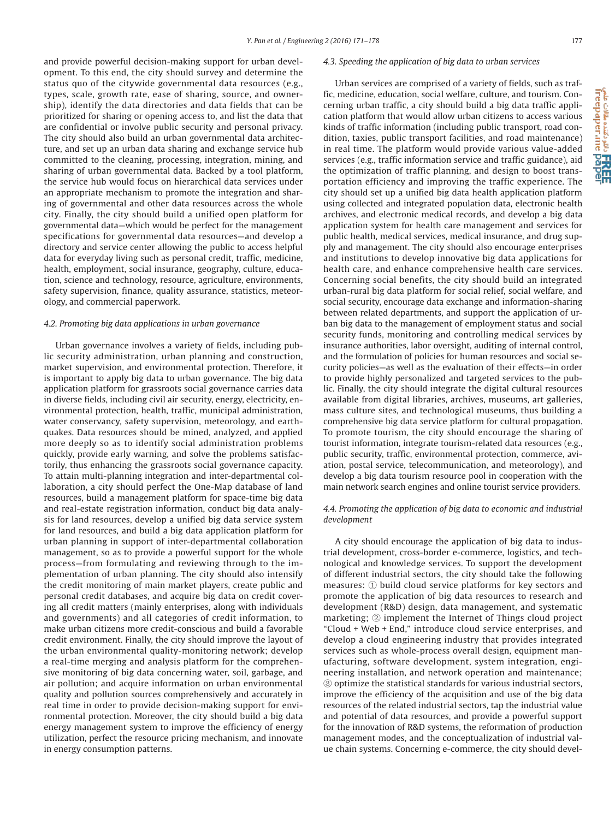and provide powerful decision-making support for urban development. To this end, the city should survey and determine the status quo of the citywide governmental data resources (e.g., types, scale, growth rate, ease of sharing, source, and ownership), identify the data directories and data fields that can be prioritized for sharing or opening access to, and list the data that are confidential or involve public security and personal privacy. The city should also build an urban governmental data architecture, and set up an urban data sharing and exchange service hub committed to the cleaning, processing, integration, mining, and sharing of urban governmental data. Backed by a tool platform, the service hub would focus on hierarchical data services under an appropriate mechanism to promote the integration and sharing of governmental and other data resources across the whole city. Finally, the city should build a unified open platform for governmental data—which would be perfect for the management specifications for governmental data resources—and develop a directory and service center allowing the public to access helpful data for everyday living such as personal credit, traffic, medicine, health, employment, social insurance, geography, culture, education, science and technology, resource, agriculture, environments, safety supervision, finance, quality assurance, statistics, meteorology, and commercial paperwork.

### *4.2. Promoting big data applications in urban governance*

Urban governance involves a variety of fields, including public security administration, urban planning and construction, market supervision, and environmental protection. Therefore, it is important to apply big data to urban governance. The big data application platform for grassroots social governance carries data in diverse fields, including civil air security, energy, electricity, environmental protection, health, traffic, municipal administration, water conservancy, safety supervision, meteorology, and earthquakes. Data resources should be mined, analyzed, and applied more deeply so as to identify social administration problems quickly, provide early warning, and solve the problems satisfactorily, thus enhancing the grassroots social governance capacity. To attain multi-planning integration and inter-departmental collaboration, a city should perfect the One-Map database of land resources, build a management platform for space-time big data and real-estate registration information, conduct big data analysis for land resources, develop a unified big data service system for land resources, and build a big data application platform for urban planning in support of inter-departmental collaboration management, so as to provide a powerful support for the whole process—from formulating and reviewing through to the implementation of urban planning. The city should also intensify the credit monitoring of main market players, create public and personal credit databases, and acquire big data on credit covering all credit matters (mainly enterprises, along with individuals and governments) and all categories of credit information, to make urban citizens more credit-conscious and build a favorable credit environment. Finally, the city should improve the layout of the urban environmental quality-monitoring network; develop a real-time merging and analysis platform for the comprehensive monitoring of big data concerning water, soil, garbage, and air pollution; and acquire information on urban environmental quality and pollution sources comprehensively and accurately in real time in order to provide decision-making support for environmental protection. Moreover, the city should build a big data energy management system to improve the efficiency of energy utilization, perfect the resource pricing mechanism, and innovate in energy consumption patterns.

#### *4.3. Speeding the application of big data to urban services*

Urban services are comprised of a variety of fields, such as traffic, medicine, education, social welfare, culture, and tourism. Concerning urban traffic, a city should build a big data traffic application platform that would allow urban citizens to access various kinds of traffic information (including public transport, road condition, taxies, public transport facilities, and road maintenance) in real time. The platform would provide various value-added services (e.g., traffic information service and traffic guidance), aid the optimization of traffic planning, and design to boost transportation efficiency and improving the traffic experience. The city should set up a unified big data health application platform using collected and integrated population data, electronic health archives, and electronic medical records, and develop a big data application system for health care management and services for public health, medical services, medical insurance, and drug supply and management. The city should also encourage enterprises and institutions to develop innovative big data applications for health care, and enhance comprehensive health care services. Concerning social benefits, the city should build an integrated urban-rural big data platform for social relief, social welfare, and social security, encourage data exchange and information-sharing between related departments, and support the application of urban big data to the management of employment status and social security funds, monitoring and controlling medical services by insurance authorities, labor oversight, auditing of internal control, and the formulation of policies for human resources and social security policies—as well as the evaluation of their effects—in order to provide highly personalized and targeted services to the public. Finally, the city should integrate the digital cultural resources available from digital libraries, archives, museums, art galleries, mass culture sites, and technological museums, thus building a comprehensive big data service platform for cultural propagation. To promote tourism, the city should encourage the sharing of tourist information, integrate tourism-related data resources (e.g., public security, traffic, environmental protection, commerce, aviation, postal service, telecommunication, and meteorology), and develop a big data tourism resource pool in cooperation with the main network search engines and online tourist service providers.

# *4.4. Promoting the application of big data to economic and industrial development*

A city should encourage the application of big data to industrial development, cross-border e-commerce, logistics, and technological and knowledge services. To support the development of different industrial sectors, the city should take the following measures: ① build cloud service platforms for key sectors and promote the application of big data resources to research and development (R&D) design, data management, and systematic marketing; ② implement the Internet of Things cloud project "Cloud + Web + End," introduce cloud service enterprises, and develop a cloud engineering industry that provides integrated services such as whole-process overall design, equipment manufacturing, software development, system integration, engineering installation, and network operation and maintenance; ③ optimize the statistical standards for various industrial sectors, improve the efficiency of the acquisition and use of the big data resources of the related industrial sectors, tap the industrial value and potential of data resources, and provide a powerful support for the innovation of R&D systems, the reformation of production management modes, and the conceptualization of industrial value chain systems. Concerning e-commerce, the city should devel-